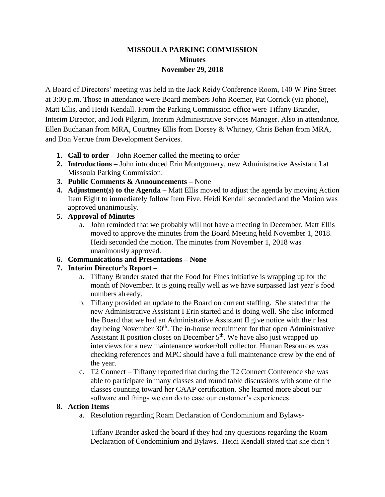# **MISSOULA PARKING COMMISSION Minutes November 29, 2018**

A Board of Directors' meeting was held in the Jack Reidy Conference Room, 140 W Pine Street at 3:00 p.m. Those in attendance were Board members John Roemer, Pat Corrick (via phone), Matt Ellis, and Heidi Kendall. From the Parking Commission office were Tiffany Brander, Interim Director, and Jodi Pilgrim, Interim Administrative Services Manager. Also in attendance, Ellen Buchanan from MRA, Courtney Ellis from Dorsey & Whitney, Chris Behan from MRA, and Don Verrue from Development Services.

- **1. Call to order –** John Roemer called the meeting to order
- **2. Introductions –** John introduced Erin Montgomery, new Administrative Assistant I at Missoula Parking Commission.
- **3. Public Comments & Announcements –** None
- **4. Adjustment(s) to the Agenda –** Matt Ellis moved to adjust the agenda by moving Action Item Eight to immediately follow Item Five. Heidi Kendall seconded and the Motion was approved unanimously.

### **5. Approval of Minutes**

a. John reminded that we probably will not have a meeting in December. Matt Ellis moved to approve the minutes from the Board Meeting held November 1, 2018. Heidi seconded the motion. The minutes from November 1, 2018 was unanimously approved.

## **6. Communications and Presentations – None**

## **7. Interim Director's Report –**

- a. Tiffany Brander stated that the Food for Fines initiative is wrapping up for the month of November. It is going really well as we have surpassed last year's food numbers already.
- b. Tiffany provided an update to the Board on current staffing. She stated that the new Administrative Assistant I Erin started and is doing well. She also informed the Board that we had an Administrative Assistant II give notice with their last day being November 30<sup>th</sup>. The in-house recruitment for that open Administrative Assistant II position closes on December  $5<sup>th</sup>$ . We have also just wrapped up interviews for a new maintenance worker/toll collector. Human Resources was checking references and MPC should have a full maintenance crew by the end of the year.
- c. T2 Connect Tiffany reported that during the T2 Connect Conference she was able to participate in many classes and round table discussions with some of the classes counting toward her CAAP certification. She learned more about our software and things we can do to ease our customer's experiences.

### **8. Action Items**

a. Resolution regarding Roam Declaration of Condominium and Bylaws-

Tiffany Brander asked the board if they had any questions regarding the Roam Declaration of Condominium and Bylaws. Heidi Kendall stated that she didn't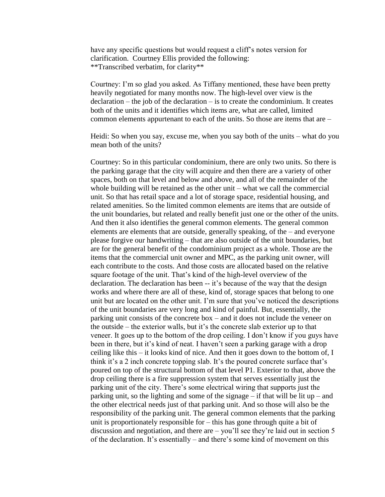have any specific questions but would request a cliff's notes version for clarification. Courtney Ellis provided the following: \*\*Transcribed verbatim, for clarity\*\*

Courtney: I'm so glad you asked. As Tiffany mentioned, these have been pretty heavily negotiated for many months now. The high-level over view is the  $\alpha$  declaration – the job of the declaration – is to create the condominium. It creates both of the units and it identifies which items are, what are called, limited common elements appurtenant to each of the units. So those are items that are –

Heidi: So when you say, excuse me, when you say both of the units – what do you mean both of the units?

Courtney: So in this particular condominium, there are only two units. So there is the parking garage that the city will acquire and then there are a variety of other spaces, both on that level and below and above, and all of the remainder of the whole building will be retained as the other unit – what we call the commercial unit. So that has retail space and a lot of storage space, residential housing, and related amenities. So the limited common elements are items that are outside of the unit boundaries, but related and really benefit just one or the other of the units. And then it also identifies the general common elements. The general common elements are elements that are outside, generally speaking, of the – and everyone please forgive our handwriting – that are also outside of the unit boundaries, but are for the general benefit of the condominium project as a whole. Those are the items that the commercial unit owner and MPC, as the parking unit owner, will each contribute to the costs. And those costs are allocated based on the relative square footage of the unit. That's kind of the high-level overview of the declaration. The declaration has been -- it's because of the way that the design works and where there are all of these, kind of, storage spaces that belong to one unit but are located on the other unit. I'm sure that you've noticed the descriptions of the unit boundaries are very long and kind of painful. But, essentially, the parking unit consists of the concrete box – and it does not include the veneer on the outside – the exterior walls, but it's the concrete slab exterior up to that veneer. It goes up to the bottom of the drop ceiling. I don't know if you guys have been in there, but it's kind of neat. I haven't seen a parking garage with a drop ceiling like this – it looks kind of nice. And then it goes down to the bottom of, I think it's a 2 inch concrete topping slab. It's the poured concrete surface that's poured on top of the structural bottom of that level P1. Exterior to that, above the drop ceiling there is a fire suppression system that serves essentially just the parking unit of the city. There's some electrical wiring that supports just the parking unit, so the lighting and some of the signage – if that will be lit up – and the other electrical needs just of that parking unit. And so those will also be the responsibility of the parking unit. The general common elements that the parking unit is proportionately responsible for – this has gone through quite a bit of discussion and negotiation, and there are – you'll see they're laid out in section 5 of the declaration. It's essentially – and there's some kind of movement on this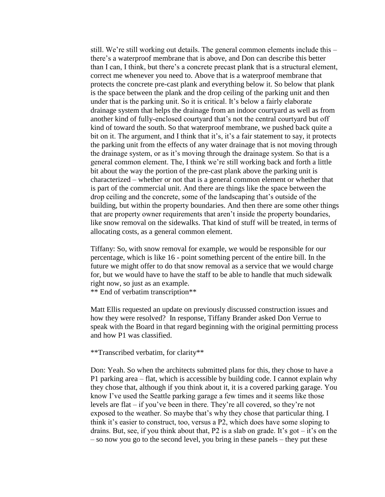still. We're still working out details. The general common elements include this – there's a waterproof membrane that is above, and Don can describe this better than I can, I think, but there's a concrete precast plank that is a structural element, correct me whenever you need to. Above that is a waterproof membrane that protects the concrete pre-cast plank and everything below it. So below that plank is the space between the plank and the drop ceiling of the parking unit and then under that is the parking unit. So it is critical. It's below a fairly elaborate drainage system that helps the drainage from an indoor courtyard as well as from another kind of fully-enclosed courtyard that's not the central courtyard but off kind of toward the south. So that waterproof membrane, we pushed back quite a bit on it. The argument, and I think that it's, it's a fair statement to say, it protects the parking unit from the effects of any water drainage that is not moving through the drainage system, or as it's moving through the drainage system. So that is a general common element. The, I think we're still working back and forth a little bit about the way the portion of the pre-cast plank above the parking unit is characterized – whether or not that is a general common element or whether that is part of the commercial unit. And there are things like the space between the drop ceiling and the concrete, some of the landscaping that's outside of the building, but within the property boundaries. And then there are some other things that are property owner requirements that aren't inside the property boundaries, like snow removal on the sidewalks. That kind of stuff will be treated, in terms of allocating costs, as a general common element.

Tiffany: So, with snow removal for example, we would be responsible for our percentage, which is like 16 - point something percent of the entire bill. In the future we might offer to do that snow removal as a service that we would charge for, but we would have to have the staff to be able to handle that much sidewalk right now, so just as an example.

\*\* End of verbatim transcription\*\*

Matt Ellis requested an update on previously discussed construction issues and how they were resolved? In response, Tiffany Brander asked Don Verrue to speak with the Board in that regard beginning with the original permitting process and how P1 was classified.

#### \*\*Transcribed verbatim, for clarity\*\*

Don: Yeah. So when the architects submitted plans for this, they chose to have a P1 parking area – flat, which is accessible by building code. I cannot explain why they chose that, although if you think about it, it is a covered parking garage. You know I've used the Seattle parking garage a few times and it seems like those levels are flat – if you've been in there. They're all covered, so they're not exposed to the weather. So maybe that's why they chose that particular thing. I think it's easier to construct, too, versus a P2, which does have some sloping to drains. But, see, if you think about that, P2 is a slab on grade. It's got  $-$  it's on the – so now you go to the second level, you bring in these panels – they put these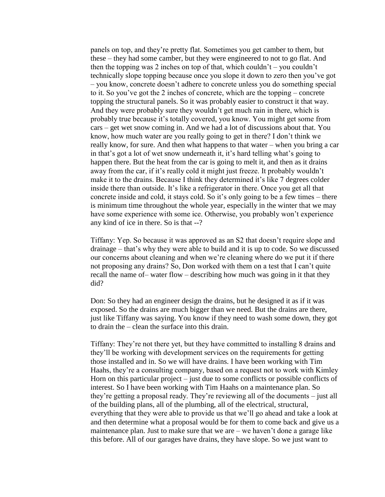panels on top, and they're pretty flat. Sometimes you get camber to them, but these – they had some camber, but they were engineered to not to go flat. And then the topping was 2 inches on top of that, which couldn't – you couldn't technically slope topping because once you slope it down to zero then you've got – you know, concrete doesn't adhere to concrete unless you do something special to it. So you've got the 2 inches of concrete, which are the topping – concrete topping the structural panels. So it was probably easier to construct it that way. And they were probably sure they wouldn't get much rain in there, which is probably true because it's totally covered, you know. You might get some from cars – get wet snow coming in. And we had a lot of discussions about that. You know, how much water are you really going to get in there? I don't think we really know, for sure. And then what happens to that water – when you bring a car in that's got a lot of wet snow underneath it, it's hard telling what's going to happen there. But the heat from the car is going to melt it, and then as it drains away from the car, if it's really cold it might just freeze. It probably wouldn't make it to the drains. Because I think they determined it's like 7 degrees colder inside there than outside. It's like a refrigerator in there. Once you get all that concrete inside and cold, it stays cold. So it's only going to be a few times – there is minimum time throughout the whole year, especially in the winter that we may have some experience with some ice. Otherwise, you probably won't experience any kind of ice in there. So is that --?

Tiffany: Yep. So because it was approved as an S2 that doesn't require slope and drainage – that's why they were able to build and it is up to code. So we discussed our concerns about cleaning and when we're cleaning where do we put it if there not proposing any drains? So, Don worked with them on a test that I can't quite recall the name of– water flow – describing how much was going in it that they did?

Don: So they had an engineer design the drains, but he designed it as if it was exposed. So the drains are much bigger than we need. But the drains are there, just like Tiffany was saying. You know if they need to wash some down, they got to drain the – clean the surface into this drain.

Tiffany: They're not there yet, but they have committed to installing 8 drains and they'll be working with development services on the requirements for getting those installed and in. So we will have drains. I have been working with Tim Haahs, they're a consulting company, based on a request not to work with Kimley Horn on this particular project – just due to some conflicts or possible conflicts of interest. So I have been working with Tim Haahs on a maintenance plan. So they're getting a proposal ready. They're reviewing all of the documents – just all of the building plans, all of the plumbing, all of the electrical, structural, everything that they were able to provide us that we'll go ahead and take a look at and then determine what a proposal would be for them to come back and give us a maintenance plan. Just to make sure that we are – we haven't done a garage like this before. All of our garages have drains, they have slope. So we just want to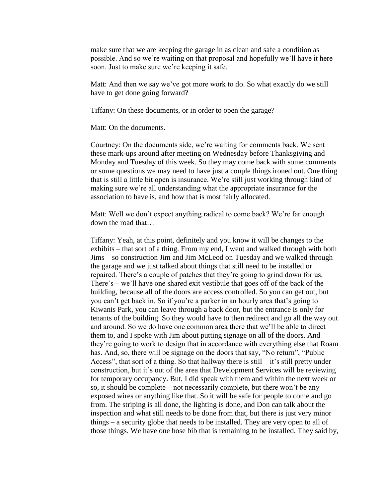make sure that we are keeping the garage in as clean and safe a condition as possible. And so we're waiting on that proposal and hopefully we'll have it here soon. Just to make sure we're keeping it safe.

Matt: And then we say we've got more work to do. So what exactly do we still have to get done going forward?

Tiffany: On these documents, or in order to open the garage?

Matt: On the documents.

Courtney: On the documents side, we're waiting for comments back. We sent these mark-ups around after meeting on Wednesday before Thanksgiving and Monday and Tuesday of this week. So they may come back with some comments or some questions we may need to have just a couple things ironed out. One thing that is still a little bit open is insurance. We're still just working through kind of making sure we're all understanding what the appropriate insurance for the association to have is, and how that is most fairly allocated.

Matt: Well we don't expect anything radical to come back? We're far enough down the road that…

Tiffany: Yeah, at this point, definitely and you know it will be changes to the exhibits – that sort of a thing. From my end, I went and walked through with both Jims – so construction Jim and Jim McLeod on Tuesday and we walked through the garage and we just talked about things that still need to be installed or repaired. There's a couple of patches that they're going to grind down for us. There's – we'll have one shared exit vestibule that goes off of the back of the building, because all of the doors are access controlled. So you can get out, but you can't get back in. So if you're a parker in an hourly area that's going to Kiwanis Park, you can leave through a back door, but the entrance is only for tenants of the building. So they would have to then redirect and go all the way out and around. So we do have one common area there that we'll be able to direct them to, and I spoke with Jim about putting signage on all of the doors. And they're going to work to design that in accordance with everything else that Roam has. And, so, there will be signage on the doors that say, "No return", "Public Access", that sort of a thing. So that hallway there is still – it's still pretty under construction, but it's out of the area that Development Services will be reviewing for temporary occupancy. But, I did speak with them and within the next week or so, it should be complete – not necessarily complete, but there won't be any exposed wires or anything like that. So it will be safe for people to come and go from. The striping is all done, the lighting is done, and Don can talk about the inspection and what still needs to be done from that, but there is just very minor things – a security globe that needs to be installed. They are very open to all of those things. We have one hose bib that is remaining to be installed. They said by,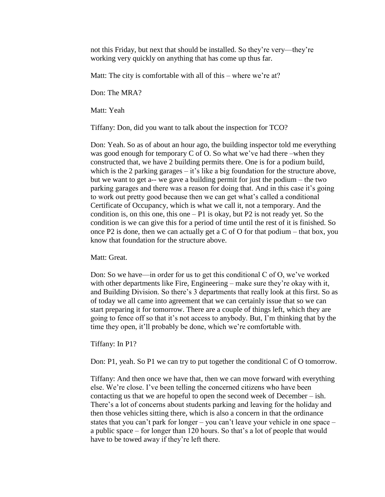not this Friday, but next that should be installed. So they're very—they're working very quickly on anything that has come up thus far.

Matt: The city is comfortable with all of this – where we're at?

Don: The MRA?

Matt: Yeah

Tiffany: Don, did you want to talk about the inspection for TCO?

Don: Yeah. So as of about an hour ago, the building inspector told me everything was good enough for temporary C of O. So what we've had there –when they constructed that, we have 2 building permits there. One is for a podium build, which is the 2 parking garages – it's like a big foundation for the structure above, but we want to get a-- we gave a building permit for just the podium – the two parking garages and there was a reason for doing that. And in this case it's going to work out pretty good because then we can get what's called a conditional Certificate of Occupancy, which is what we call it, not a temporary. And the condition is, on this one, this one  $- P1$  is okay, but P2 is not ready yet. So the condition is we can give this for a period of time until the rest of it is finished. So once P2 is done, then we can actually get a C of O for that podium – that box, you know that foundation for the structure above.

Matt: Great.

Don: So we have—in order for us to get this conditional C of O, we've worked with other departments like Fire, Engineering – make sure they're okay with it, and Building Division. So there's 3 departments that really look at this first. So as of today we all came into agreement that we can certainly issue that so we can start preparing it for tomorrow. There are a couple of things left, which they are going to fence off so that it's not access to anybody. But, I'm thinking that by the time they open, it'll probably be done, which we're comfortable with.

Tiffany: In P1?

Don: P1, yeah. So P1 we can try to put together the conditional C of O tomorrow.

Tiffany: And then once we have that, then we can move forward with everything else. We're close. I've been telling the concerned citizens who have been contacting us that we are hopeful to open the second week of December – ish. There's a lot of concerns about students parking and leaving for the holiday and then those vehicles sitting there, which is also a concern in that the ordinance states that you can't park for longer – you can't leave your vehicle in one space – a public space – for longer than 120 hours. So that's a lot of people that would have to be towed away if they're left there.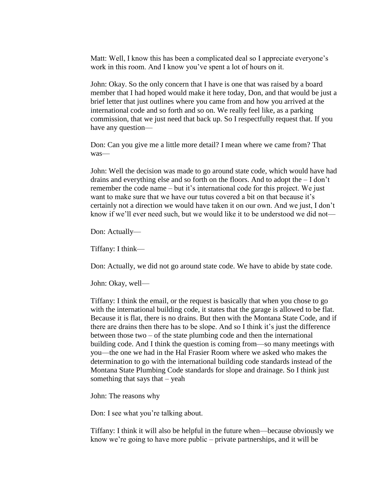Matt: Well, I know this has been a complicated deal so I appreciate everyone's work in this room. And I know you've spent a lot of hours on it.

John: Okay. So the only concern that I have is one that was raised by a board member that I had hoped would make it here today, Don, and that would be just a brief letter that just outlines where you came from and how you arrived at the international code and so forth and so on. We really feel like, as a parking commission, that we just need that back up. So I respectfully request that. If you have any question—

Don: Can you give me a little more detail? I mean where we came from? That was—

John: Well the decision was made to go around state code, which would have had drains and everything else and so forth on the floors. And to adopt the – I don't remember the code name – but it's international code for this project. We just want to make sure that we have our tutus covered a bit on that because it's certainly not a direction we would have taken it on our own. And we just, I don't know if we'll ever need such, but we would like it to be understood we did not—

Don: Actually—

Tiffany: I think—

Don: Actually, we did not go around state code. We have to abide by state code.

John: Okay, well—

Tiffany: I think the email, or the request is basically that when you chose to go with the international building code, it states that the garage is allowed to be flat. Because it is flat, there is no drains. But then with the Montana State Code, and if there are drains then there has to be slope. And so I think it's just the difference between those two – of the state plumbing code and then the international building code. And I think the question is coming from—so many meetings with you—the one we had in the Hal Frasier Room where we asked who makes the determination to go with the international building code standards instead of the Montana State Plumbing Code standards for slope and drainage. So I think just something that says that  $-$  yeah

John: The reasons why

Don: I see what you're talking about.

Tiffany: I think it will also be helpful in the future when—because obviously we know we're going to have more public – private partnerships, and it will be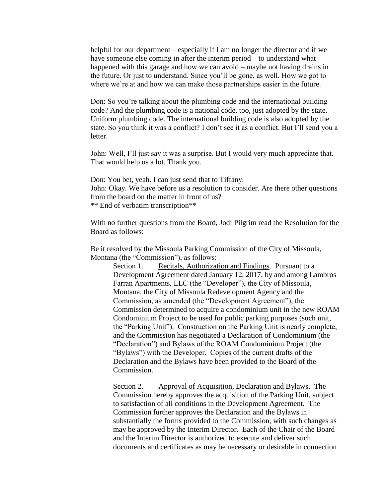helpful for our department – especially if I am no longer the director and if we have someone else coming in after the interim period – to understand what happened with this garage and how we can avoid – maybe not having drains in the future. Or just to understand. Since you'll be gone, as well. How we got to where we're at and how we can make those partnerships easier in the future.

Don: So you're talking about the plumbing code and the international building code? And the plumbing code is a national code, too, just adopted by the state. Uniform plumbing code. The international building code is also adopted by the state. So you think it was a conflict? I don't see it as a conflict. But I'll send you a letter.

John: Well, I'll just say it was a surprise. But I would very much appreciate that. That would help us a lot. Thank you.

Don: You bet, yeah. I can just send that to Tiffany. John: Okay. We have before us a resolution to consider. Are there other questions from the board on the matter in front of us? \*\* End of verbatim transcription\*\*

With no further questions from the Board, Jodi Pilgrim read the Resolution for the Board as follows:

Be it resolved by the Missoula Parking Commission of the City of Missoula, Montana (the "Commission"), as follows:

Section 1. Recitals, Authorization and Findings. Pursuant to a Development Agreement dated January 12, 2017, by and among Lambros Farran Apartments, LLC (the "Developer"), the City of Missoula, Montana, the City of Missoula Redevelopment Agency and the Commission, as amended (the "Development Agreement"), the Commission determined to acquire a condominium unit in the new ROAM Condominium Project to be used for public parking purposes (such unit, the "Parking Unit"). Construction on the Parking Unit is nearly complete, and the Commission has negotiated a Declaration of Condominium (the "Declaration") and Bylaws of the ROAM Condominium Project (the "Bylaws") with the Developer. Copies of the current drafts of the Declaration and the Bylaws have been provided to the Board of the Commission.

Section 2. Approval of Acquisition, Declaration and Bylaws. The Commission hereby approves the acquisition of the Parking Unit, subject to satisfaction of all conditions in the Development Agreement. The Commission further approves the Declaration and the Bylaws in substantially the forms provided to the Commission, with such changes as may be approved by the Interim Director. Each of the Chair of the Board and the Interim Director is authorized to execute and deliver such documents and certificates as may be necessary or desirable in connection